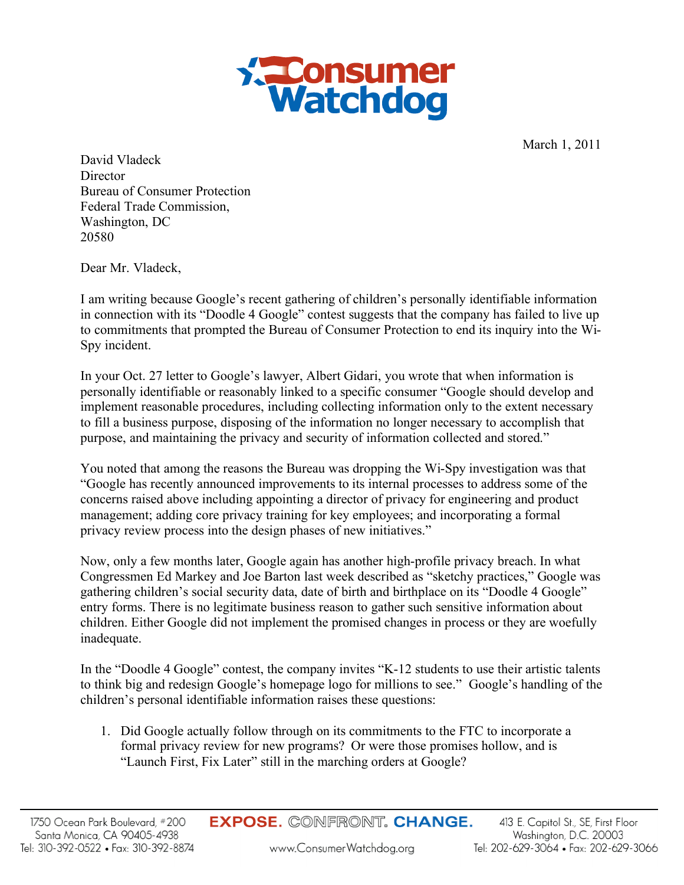

March 1, 2011

David Vladeck **Director** Bureau of Consumer Protection Federal Trade Commission, Washington, DC 20580

Dear Mr. Vladeck,

I am writing because Google's recent gathering of children's personally identifiable information in connection with its "Doodle 4 Google" contest suggests that the company has failed to live up to commitments that prompted the Bureau of Consumer Protection to end its inquiry into the Wi-Spy incident.

In your Oct. 27 letter to Google's lawyer, Albert Gidari, you wrote that when information is personally identifiable or reasonably linked to a specific consumer "Google should develop and implement reasonable procedures, including collecting information only to the extent necessary to fill a business purpose, disposing of the information no longer necessary to accomplish that purpose, and maintaining the privacy and security of information collected and stored."

You noted that among the reasons the Bureau was dropping the Wi-Spy investigation was that "Google has recently announced improvements to its internal processes to address some of the concerns raised above including appointing a director of privacy for engineering and product management; adding core privacy training for key employees; and incorporating a formal privacy review process into the design phases of new initiatives."

Now, only a few months later, Google again has another high-profile privacy breach. In what Congressmen Ed Markey and Joe Barton last week described as "sketchy practices," Google was gathering children's social security data, date of birth and birthplace on its "Doodle 4 Google" entry forms. There is no legitimate business reason to gather such sensitive information about children. Either Google did not implement the promised changes in process or they are woefully inadequate.

In the "Doodle 4 Google" contest, the company invites "K-12 students to use their artistic talents to think big and redesign Google's homepage logo for millions to see." Google's handling of the children's personal identifiable information raises these questions:

1. Did Google actually follow through on its commitments to the FTC to incorporate a formal privacy review for new programs? Or were those promises hollow, and is "Launch First, Fix Later" still in the marching orders at Google?